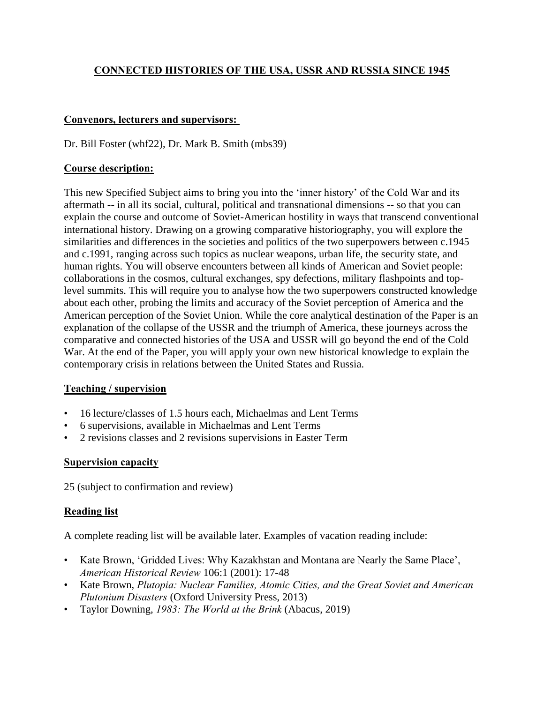# **CONNECTED HISTORIES OF THE USA, USSR AND RUSSIA SINCE 1945**

## **Convenors, lecturers and supervisors:**

Dr. Bill Foster (whf22), Dr. Mark B. Smith (mbs39)

### **Course description:**

This new Specified Subject aims to bring you into the 'inner history' of the Cold War and its aftermath -- in all its social, cultural, political and transnational dimensions -- so that you can explain the course and outcome of Soviet-American hostility in ways that transcend conventional international history. Drawing on a growing comparative historiography, you will explore the similarities and differences in the societies and politics of the two superpowers between c.1945 and c.1991, ranging across such topics as nuclear weapons, urban life, the security state, and human rights. You will observe encounters between all kinds of American and Soviet people: collaborations in the cosmos, cultural exchanges, spy defections, military flashpoints and toplevel summits. This will require you to analyse how the two superpowers constructed knowledge about each other, probing the limits and accuracy of the Soviet perception of America and the American perception of the Soviet Union. While the core analytical destination of the Paper is an explanation of the collapse of the USSR and the triumph of America, these journeys across the comparative and connected histories of the USA and USSR will go beyond the end of the Cold War. At the end of the Paper, you will apply your own new historical knowledge to explain the contemporary crisis in relations between the United States and Russia.

#### **Teaching / supervision**

- 16 lecture/classes of 1.5 hours each, Michaelmas and Lent Terms
- 6 supervisions, available in Michaelmas and Lent Terms
- 2 revisions classes and 2 revisions supervisions in Easter Term

#### **Supervision capacity**

25 (subject to confirmation and review)

## **Reading list**

A complete reading list will be available later. Examples of vacation reading include:

- Kate Brown, 'Gridded Lives: Why Kazakhstan and Montana are Nearly the Same Place', *American Historical Review* 106:1 (2001): 17-48
- Kate Brown, *Plutopia: Nuclear Families, Atomic Cities, and the Great Soviet and American Plutonium Disasters* (Oxford University Press, 2013)
- Taylor Downing, *1983: The World at the Brink* (Abacus, 2019)